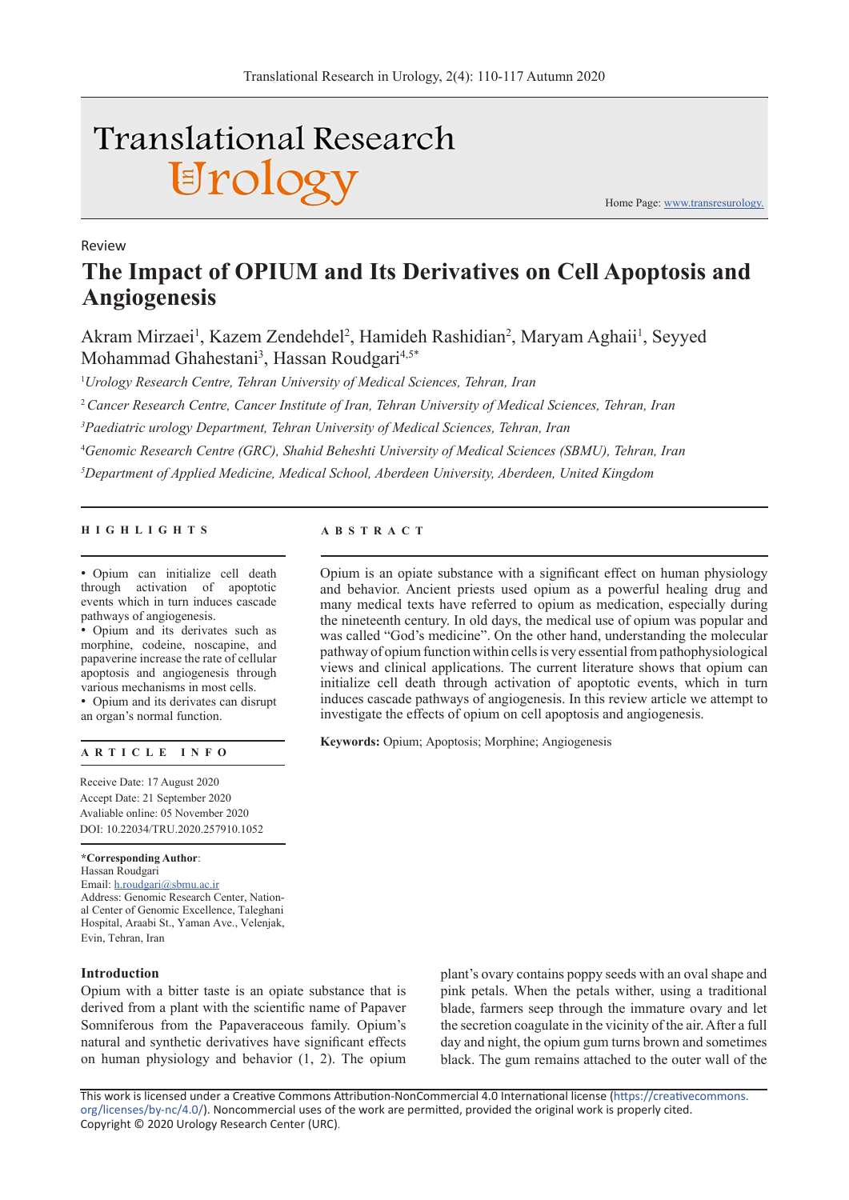# **Translational Research** Urology

Review

Home Page: www.transresurology.

## **The Impact of OPIUM and Its Derivatives on Cell Apoptosis and Angiogenesis**

Akram Mirzaei<sup>1</sup>, Kazem Zendehdel<sup>2</sup>, Hamideh Rashidian<sup>2</sup>, Maryam Aghaii<sup>1</sup>, Seyyed Mohammad Ghahestani<sup>3</sup>, Hassan Roudgari<sup>4,5\*</sup>

1 *Urology Research Centre, Tehran University of Medical Sciences, Tehran, Iran*

<sup>2</sup>*Cancer Research Centre, Cancer Institute of Iran, Tehran University of Medical Sciences, Tehran, Iran*

*3 Paediatric urology Department, Tehran University of Medical Sciences, Tehran, Iran* 

4 *Genomic Research Centre (GRC), Shahid Beheshti University of Medical Sciences (SBMU), Tehran, Iran*

*5 Department of Applied Medicine, Medical School, Aberdeen University, Aberdeen, United Kingdom*

#### **HIGHLIGHTS ABSTRACT**

• Opium can initialize cell death through activation of apoptotic events which in turn induces cascade pathways of angiogenesis.

• Opium and its derivates such as morphine, codeine, noscapine, and papaverine increase the rate of cellular apoptosis and angiogenesis through various mechanisms in most cells. • Opium and its derivates can disrupt

an organ's normal function.

#### **ARTICLE INFO**

Receive Date: 17 August 2020 Accept Date: 21 September 2020 Avaliable online: 05 November 2020 DOI: 10.22034/TRU.2020.257910.1052

**\*Corresponding Author**: Hassan Roudgari Email: h.roudgari@sbmu.ac.ir Address: Genomic Research Center, National Center of Genomic Excellence, Taleghani Hospital, Araabi St., Yaman Ave., Velenjak, Evin, Tehran, Iran

#### **Introduction**

Opium with a bitter taste is an opiate substance that is derived from a plant with the scientific name of Papaver Somniferous from the Papaveraceous family. Opium's natural and synthetic derivatives have significant effects on human physiology and behavior (1, 2). The opium

plant's ovary contains poppy seeds with an oval shape and pink petals. When the petals wither, using a traditional blade, farmers seep through the immature ovary and let the secretion coagulate in the vicinity of the air. After a full day and night, the opium gum turns brown and sometimes black. The gum remains attached to the outer wall of the

This work is licensed under a Creative Commons Attribution-NonCommercial 4.0 International license (https://creativecommons. org/licenses/by-nc/4.0/). Noncommercial uses of the work are permitted, provided the original work is properly cited. Copyright © 2020 Urology Research Center (URC).

Opium is an opiate substance with a significant effect on human physiology and behavior. Ancient priests used opium as a powerful healing drug and many medical texts have referred to opium as medication, especially during the nineteenth century. In old days, the medical use of opium was popular and was called "God's medicine". On the other hand, understanding the molecular pathway of opium function within cells is very essential from pathophysiological views and clinical applications. The current literature shows that opium can initialize cell death through activation of apoptotic events, which in turn induces cascade pathways of angiogenesis. In this review article we attempt to investigate the effects of opium on cell apoptosis and angiogenesis.

**Keywords:** Opium; Apoptosis; Morphine; Angiogenesis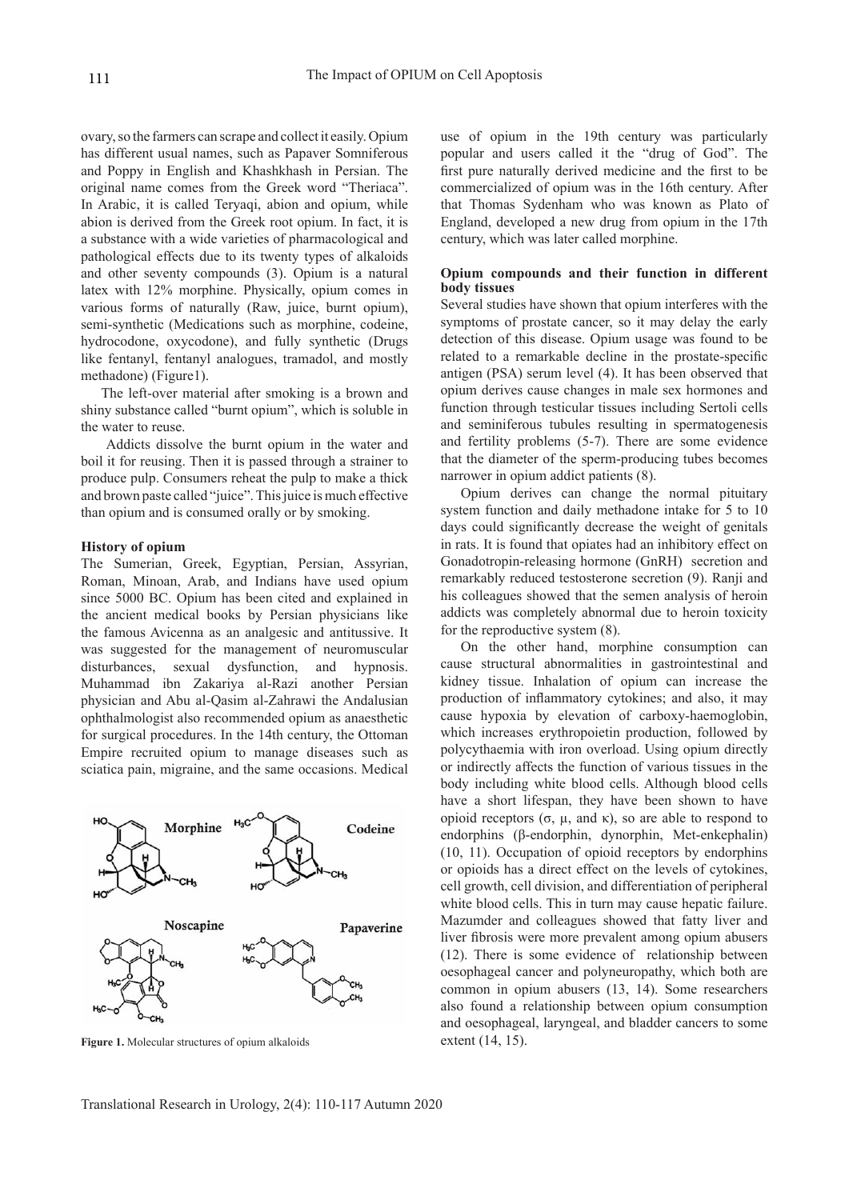ovary, so the farmers can scrape and collect it easily. Opium has different usual names, such as Papaver Somniferous and Poppy in English and Khashkhash in Persian. The original name comes from the Greek word "Theriaca". In Arabic, it is called Teryaqi, abion and opium, while abion is derived from the Greek root opium. In fact, it is a substance with a wide varieties of pharmacological and pathological effects due to its twenty types of alkaloids and other seventy compounds (3). Opium is a natural latex with 12% morphine. Physically, opium comes in various forms of naturally (Raw, juice, burnt opium), semi-synthetic (Medications such as morphine, codeine, hydrocodone, oxycodone), and fully synthetic (Drugs like fentanyl, fentanyl analogues, tramadol, and mostly methadone) (Figure1).

The left-over material after smoking is a brown and shiny substance called "burnt opium", which is soluble in the water to reuse.

Addicts dissolve the burnt opium in the water and boil it for reusing. Then it is passed through a strainer to produce pulp. Consumers reheat the pulp to make a thick and brown paste called "juice". This juice is much effective than opium and is consumed orally or by smoking.

#### **History of opium**

The Sumerian, Greek, Egyptian, Persian, Assyrian, Roman, Minoan, Arab, and Indians have used opium since 5000 BC. Opium has been cited and explained in the ancient medical books by Persian physicians like the famous Avicenna as an analgesic and antitussive. It was suggested for the management of neuromuscular disturbances, sexual dysfunction, and hypnosis. Muhammad ibn Zakariya al-Razi another Persian physician and Abu al-Qasim al-Zahrawi the Andalusian ophthalmologist also recommended opium as anaesthetic for surgical procedures. In the 14th century, the Ottoman Empire recruited opium to manage diseases such as sciatica pain, migraine, and the same occasions. Medical



**Figure 1.** Molecular structures of opium alkaloids extent (14, 15).

use of opium in the 19th century was particularly popular and users called it the "drug of God". The first pure naturally derived medicine and the first to be commercialized of opium was in the 16th century. After that Thomas Sydenham who was known as Plato of England, developed a new drug from opium in the 17th century, which was later called morphine.

#### **Opium compounds and their function in different body tissues**

Several studies have shown that opium interferes with the symptoms of prostate cancer, so it may delay the early detection of this disease. Opium usage was found to be related to a remarkable decline in the prostate-specific antigen (PSA) serum level (4). It has been observed that opium derives cause changes in male sex hormones and function through testicular tissues including Sertoli cells and seminiferous tubules resulting in spermatogenesis and fertility problems (5-7). There are some evidence that the diameter of the sperm-producing tubes becomes narrower in opium addict patients (8).

Opium derives can change the normal pituitary system function and daily methadone intake for 5 to 10 days could significantly decrease the weight of genitals in rats. It is found that opiates had an inhibitory effect on Gonadotropin-releasing hormone (GnRH) secretion and remarkably reduced testosterone secretion (9). Ranji and his colleagues showed that the semen analysis of heroin addicts was completely abnormal due to heroin toxicity for the reproductive system (8).

On the other hand, morphine consumption can cause structural abnormalities in gastrointestinal and kidney tissue. Inhalation of opium can increase the production of inflammatory cytokines; and also, it may cause hypoxia by elevation of carboxy-haemoglobin, which increases erythropoietin production, followed by polycythaemia with iron overload. Using opium directly or indirectly affects the function of various tissues in the body including white blood cells. Although blood cells have a short lifespan, they have been shown to have opioid receptors  $(σ, μ, and κ)$ , so are able to respond to endorphins (β-endorphin, dynorphin, Met-enkephalin) (10, 11). Occupation of opioid receptors by endorphins or opioids has a direct effect on the levels of cytokines, cell growth, cell division, and differentiation of peripheral white blood cells. This in turn may cause hepatic failure. Mazumder and colleagues showed that fatty liver and liver fibrosis were more prevalent among opium abusers (12). There is some evidence of relationship between oesophageal cancer and polyneuropathy, which both are common in opium abusers (13, 14). Some researchers also found a relationship between opium consumption and oesophageal, laryngeal, and bladder cancers to some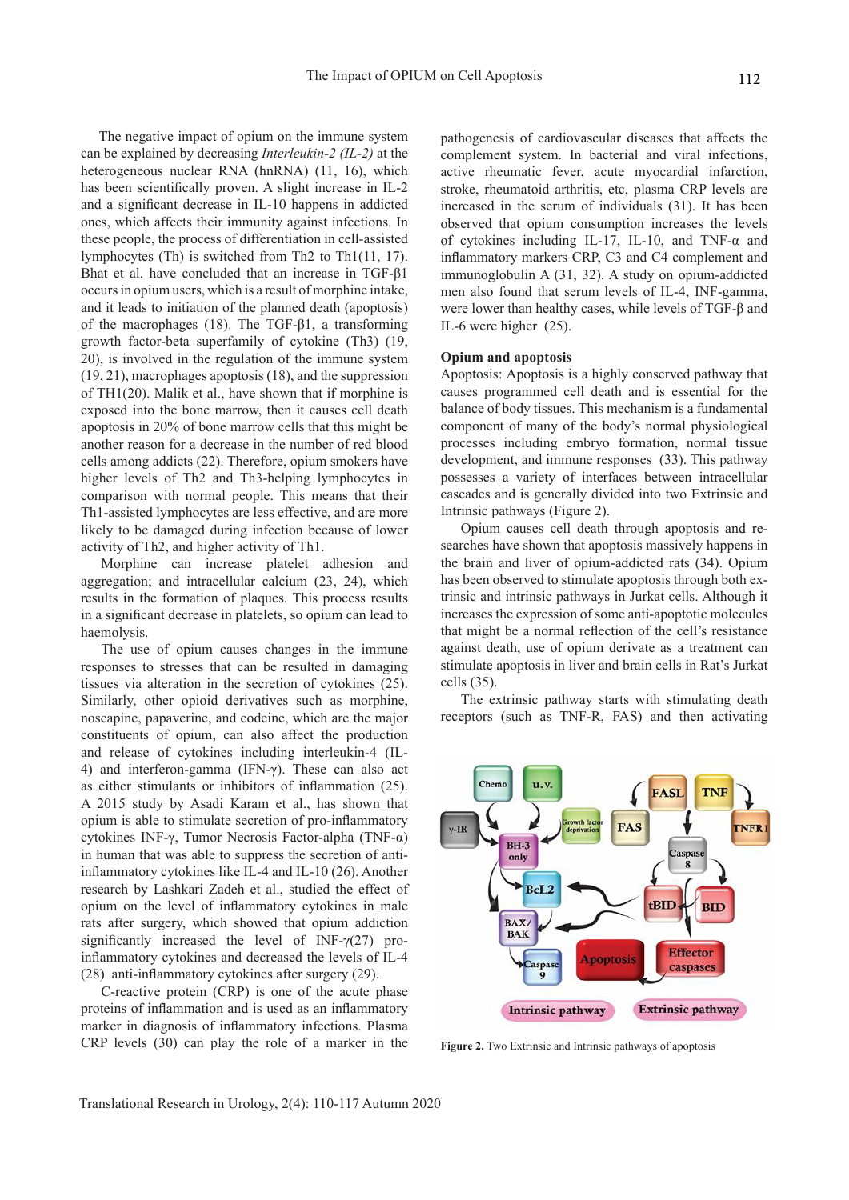The negative impact of opium on the immune system can be explained by decreasing *Interleukin-2 (IL-2)* at the heterogeneous nuclear RNA (hnRNA) (11, 16), which has been scientifically proven. A slight increase in IL-2 and a significant decrease in IL-10 happens in addicted ones, which affects their immunity against infections. In these people, the process of differentiation in cell-assisted lymphocytes (Th) is switched from Th2 to Th1(11, 17). Bhat et al. have concluded that an increase in TGF-β1 occurs in opium users, which is a result of morphine intake, and it leads to initiation of the planned death (apoptosis) of the macrophages (18). The TGF-β1, a transforming growth factor-beta superfamily of cytokine (Th3) (19, 20), is involved in the regulation of the immune system (19, 21), macrophages apoptosis (18), and the suppression of TH1(20). Malik et al., have shown that if morphine is exposed into the bone marrow, then it causes cell death apoptosis in 20% of bone marrow cells that this might be another reason for a decrease in the number of red blood cells among addicts (22). Therefore, opium smokers have higher levels of Th2 and Th3-helping lymphocytes in comparison with normal people. This means that their Th1-assisted lymphocytes are less effective, and are more likely to be damaged during infection because of lower activity of Th2, and higher activity of Th1.

Morphine can increase platelet adhesion and aggregation; and intracellular calcium (23, 24), which results in the formation of plaques. This process results in a significant decrease in platelets, so opium can lead to haemolysis.

The use of opium causes changes in the immune responses to stresses that can be resulted in damaging tissues via alteration in the secretion of cytokines (25). Similarly, other opioid derivatives such as morphine, noscapine, papaverine, and codeine, which are the major constituents of opium, can also affect the production and release of cytokines including interleukin-4 (IL-4) and interferon-gamma (IFN-γ). These can also act as either stimulants or inhibitors of inflammation (25). A 2015 study by Asadi Karam et al., has shown that opium is able to stimulate secretion of pro-inflammatory cytokines INF-γ, Tumor Necrosis Factor-alpha (TNF-α) in human that was able to suppress the secretion of antiinflammatory cytokines like IL-4 and IL-10 (26). Another research by Lashkari Zadeh et al., studied the effect of opium on the level of inflammatory cytokines in male rats after surgery, which showed that opium addiction significantly increased the level of INF- $\gamma$ (27) proinflammatory cytokines and decreased the levels of IL-4 (28) anti-inflammatory cytokines after surgery (29).

C-reactive protein (CRP) is one of the acute phase proteins of inflammation and is used as an inflammatory marker in diagnosis of inflammatory infections. Plasma CRP levels (30) can play the role of a marker in the pathogenesis of cardiovascular diseases that affects the complement system. In bacterial and viral infections, active rheumatic fever, acute myocardial infarction, stroke, rheumatoid arthritis, etc, plasma CRP levels are increased in the serum of individuals (31). It has been observed that opium consumption increases the levels of cytokines including IL-17, IL-10, and TNF-α and inflammatory markers CRP, C3 and C4 complement and immunoglobulin A (31, 32). A study on opium-addicted men also found that serum levels of IL-4, INF-gamma, were lower than healthy cases, while levels of TGF-β and IL-6 were higher (25).

#### **Opium and apoptosis**

Apoptosis: Apoptosis is a highly conserved pathway that causes programmed cell death and is essential for the balance of body tissues. This mechanism is a fundamental component of many of the body's normal physiological processes including embryo formation, normal tissue development, and immune responses (33). This pathway possesses a variety of interfaces between intracellular cascades and is generally divided into two Extrinsic and Intrinsic pathways (Figure 2).

Opium causes cell death through apoptosis and researches have shown that apoptosis massively happens in the brain and liver of opium-addicted rats (34). Opium has been observed to stimulate apoptosis through both extrinsic and intrinsic pathways in Jurkat cells. Although it increases the expression of some anti-apoptotic molecules that might be a normal reflection of the cell's resistance against death, use of opium derivate as a treatment can stimulate apoptosis in liver and brain cells in Rat's Jurkat cells (35).

The extrinsic pathway starts with stimulating death receptors (such as TNF-R, FAS) and then activating



**Figure 2.** Two Extrinsic and Intrinsic pathways of apoptosis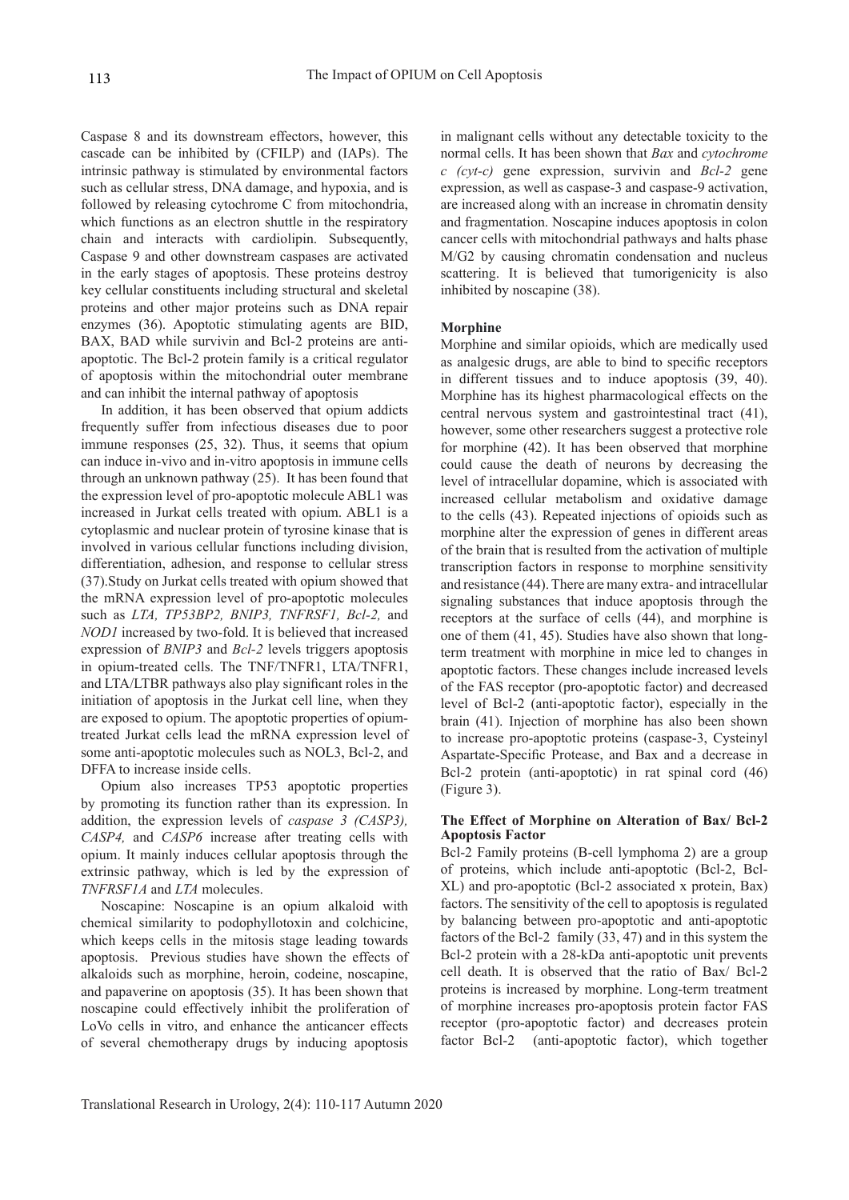Caspase 8 and its downstream effectors, however, this cascade can be inhibited by (CFILP) and (IAPs). The intrinsic pathway is stimulated by environmental factors such as cellular stress, DNA damage, and hypoxia, and is followed by releasing cytochrome C from mitochondria, which functions as an electron shuttle in the respiratory chain and interacts with cardiolipin. Subsequently, Caspase 9 and other downstream caspases are activated in the early stages of apoptosis. These proteins destroy key cellular constituents including structural and skeletal proteins and other major proteins such as DNA repair enzymes (36). Apoptotic stimulating agents are BID, BAX, BAD while survivin and Bcl-2 proteins are antiapoptotic. The Bcl-2 protein family is a critical regulator of apoptosis within the mitochondrial outer membrane and can inhibit the internal pathway of apoptosis

In addition, it has been observed that opium addicts frequently suffer from infectious diseases due to poor immune responses (25, 32). Thus, it seems that opium can induce in-vivo and in-vitro apoptosis in immune cells through an unknown pathway (25). It has been found that the expression level of pro-apoptotic molecule ABL1 was increased in Jurkat cells treated with opium. ABL1 is a cytoplasmic and nuclear protein of tyrosine kinase that is involved in various cellular functions including division, differentiation, adhesion, and response to cellular stress (37).Study on Jurkat cells treated with opium showed that the mRNA expression level of pro-apoptotic molecules such as *LTA, TP53BP2, BNIP3, TNFRSF1, Bcl-2,* and *NOD1* increased by two-fold. It is believed that increased expression of *BNIP3* and *Bcl-2* levels triggers apoptosis in opium-treated cells. The TNF/TNFR1, LTA/TNFR1, and LTA/LTBR pathways also play significant roles in the initiation of apoptosis in the Jurkat cell line, when they are exposed to opium. The apoptotic properties of opiumtreated Jurkat cells lead the mRNA expression level of some anti-apoptotic molecules such as NOL3, Bcl-2, and DFFA to increase inside cells.

Opium also increases TP53 apoptotic properties by promoting its function rather than its expression. In addition, the expression levels of *caspase 3 (CASP3), CASP4,* and *CASP6* increase after treating cells with opium. It mainly induces cellular apoptosis through the extrinsic pathway, which is led by the expression of *TNFRSF1A* and *LTA* molecules.

Noscapine: Noscapine is an opium alkaloid with chemical similarity to podophyllotoxin and colchicine, which keeps cells in the mitosis stage leading towards apoptosis. Previous studies have shown the effects of alkaloids such as morphine, heroin, codeine, noscapine, and papaverine on apoptosis (35). It has been shown that noscapine could effectively inhibit the proliferation of LoVo cells in vitro, and enhance the anticancer effects of several chemotherapy drugs by inducing apoptosis

in malignant cells without any detectable toxicity to the normal cells. It has been shown that *Bax* and *cytochrome c (cyt-c)* gene expression, survivin and *Bcl-2* gene expression, as well as caspase-3 and caspase-9 activation, are increased along with an increase in chromatin density and fragmentation. Noscapine induces apoptosis in colon cancer cells with mitochondrial pathways and halts phase M/G2 by causing chromatin condensation and nucleus scattering. It is believed that tumorigenicity is also inhibited by noscapine (38).

#### **Morphine**

Morphine and similar opioids, which are medically used as analgesic drugs, are able to bind to specific receptors in different tissues and to induce apoptosis (39, 40). Morphine has its highest pharmacological effects on the central nervous system and gastrointestinal tract (41), however, some other researchers suggest a protective role for morphine (42). It has been observed that morphine could cause the death of neurons by decreasing the level of intracellular dopamine, which is associated with increased cellular metabolism and oxidative damage to the cells (43). Repeated injections of opioids such as morphine alter the expression of genes in different areas of the brain that is resulted from the activation of multiple transcription factors in response to morphine sensitivity and resistance (44). There are many extra- and intracellular signaling substances that induce apoptosis through the receptors at the surface of cells (44), and morphine is one of them (41, 45). Studies have also shown that longterm treatment with morphine in mice led to changes in apoptotic factors. These changes include increased levels of the FAS receptor (pro-apoptotic factor) and decreased level of Bcl-2 (anti-apoptotic factor), especially in the brain (41). Injection of morphine has also been shown to increase pro-apoptotic proteins (caspase-3, Cysteinyl Aspartate-Specific Protease, and Bax and a decrease in Bcl-2 protein (anti-apoptotic) in rat spinal cord (46) (Figure 3).

#### **The Effect of Morphine on Alteration of Bax/ Bcl-2 Apoptosis Factor**

Bcl-2 Family proteins (B-cell lymphoma 2) are a group of proteins, which include anti-apoptotic (Bcl-2, Bcl-XL) and pro-apoptotic (Bcl-2 associated x protein, Bax) factors. The sensitivity of the cell to apoptosis is regulated by balancing between pro-apoptotic and anti-apoptotic factors of the Bcl-2 family (33, 47) and in this system the Bcl-2 protein with a 28-kDa anti-apoptotic unit prevents cell death. It is observed that the ratio of Bax/ Bcl-2 proteins is increased by morphine. Long-term treatment of morphine increases pro-apoptosis protein factor FAS receptor (pro-apoptotic factor) and decreases protein factor Bcl-2 (anti-apoptotic factor), which together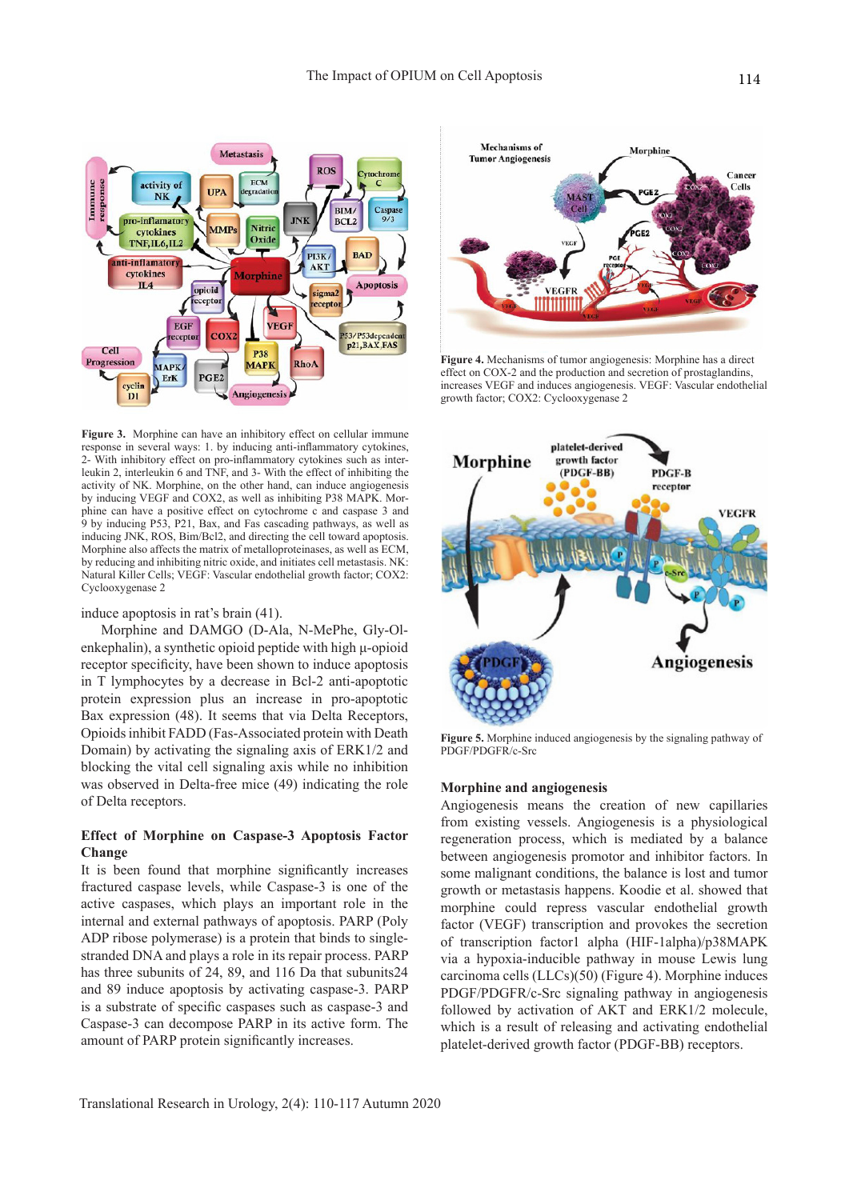

**Figure 3.** Morphine can have an inhibitory effect on cellular immune response in several ways: 1. by inducing anti-inflammatory cytokines, 2- With inhibitory effect on pro-inflammatory cytokines such as interleukin 2, interleukin 6 and TNF, and 3- With the effect of inhibiting the activity of NK. Morphine, on the other hand, can induce angiogenesis by inducing VEGF and COX2, as well as inhibiting P38 MAPK. Morphine can have a positive effect on cytochrome c and caspase 3 and 9 by inducing P53, P21, Bax, and Fas cascading pathways, as well as inducing JNK, ROS, Bim/Bcl2, and directing the cell toward apoptosis. Morphine also affects the matrix of metalloproteinases, as well as ECM, by reducing and inhibiting nitric oxide, and initiates cell metastasis. NK: Natural Killer Cells; VEGF: Vascular endothelial growth factor; COX2: Cyclooxygenase 2

induce apoptosis in rat's brain (41).

Morphine and DAMGO (D-Ala, N-MePhe, Gly-Olenkephalin), a synthetic opioid peptide with high μ-opioid receptor specificity, have been shown to induce apoptosis in T lymphocytes by a decrease in Bcl-2 anti-apoptotic protein expression plus an increase in pro-apoptotic Bax expression (48). It seems that via Delta Receptors, Opioids inhibit FADD (Fas-Associated protein with Death Domain) by activating the signaling axis of ERK1/2 and blocking the vital cell signaling axis while no inhibition was observed in Delta-free mice (49) indicating the role of Delta receptors.

### **Effect of Morphine on Caspase-3 Apoptosis Factor Change**

It is been found that morphine significantly increases fractured caspase levels, while Caspase-3 is one of the active caspases, which plays an important role in the internal and external pathways of apoptosis. PARP (Poly ADP ribose polymerase) is a protein that binds to singlestranded DNA and plays a role in its repair process. PARP has three subunits of 24, 89, and 116 Da that subunits24 and 89 induce apoptosis by activating caspase-3. PARP is a substrate of specific caspases such as caspase-3 and Caspase-3 can decompose PARP in its active form. The amount of PARP protein significantly increases.



**Figure 4.** Mechanisms of tumor angiogenesis: Morphine has a direct effect on COX-2 and the production and secretion of prostaglandins, increases VEGF and induces angiogenesis. VEGF: Vascular endothelial growth factor; COX2: Cyclooxygenase 2



**Figure 5.** Morphine induced angiogenesis by the signaling pathway of PDGF/PDGFR/c-Src

#### **Morphine and angiogenesis**

Angiogenesis means the creation of new capillaries from existing vessels. Angiogenesis is a physiological regeneration process, which is mediated by a balance between angiogenesis promotor and inhibitor factors. In some malignant conditions, the balance is lost and tumor growth or metastasis happens. Koodie et al. showed that morphine could repress vascular endothelial growth factor (VEGF) transcription and provokes the secretion of transcription factor1 alpha (HIF-1alpha)/p38MAPK via a hypoxia-inducible pathway in mouse Lewis lung carcinoma cells (LLCs)(50) (Figure 4). Morphine induces PDGF/PDGFR/c-Src signaling pathway in angiogenesis followed by activation of AKT and ERK1/2 molecule, which is a result of releasing and activating endothelial platelet-derived growth factor (PDGF-BB) receptors.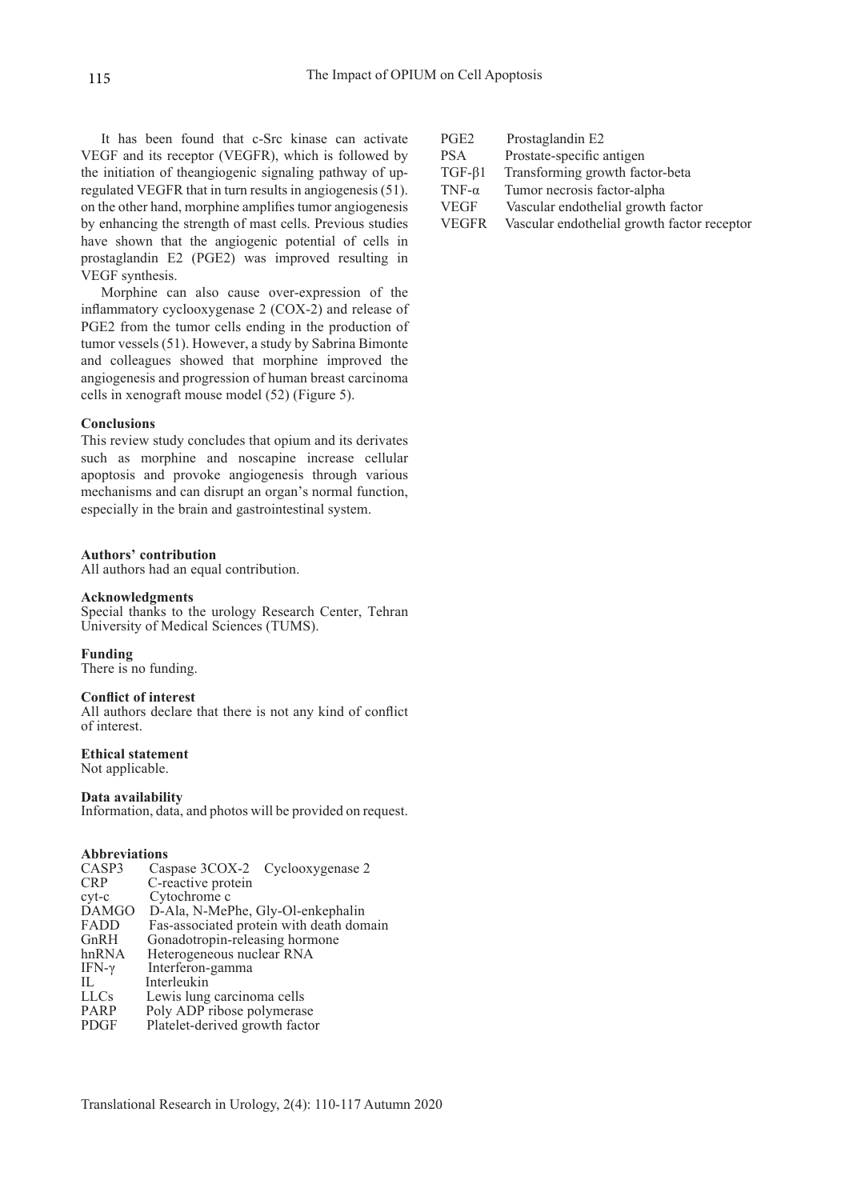It has been found that c-Src kinase can activate VEGF and its receptor (VEGFR), which is followed by the initiation of theangiogenic signaling pathway of upregulated VEGFR that in turn results in angiogenesis (51). on the other hand, morphine amplifies tumor angiogenesis by enhancing the strength of mast cells. Previous studies have shown that the angiogenic potential of cells in prostaglandin E2 (PGE2) was improved resulting in VEGF synthesis.

Morphine can also cause over-expression of the inflammatory cyclooxygenase 2 (COX-2) and release of PGE2 from the tumor cells ending in the production of tumor vessels (51). However, a study by Sabrina Bimonte and colleagues showed that morphine improved the angiogenesis and progression of human breast carcinoma cells in xenograft mouse model (52) (Figure 5).

#### **Conclusions**

This review study concludes that opium and its derivates such as morphine and noscapine increase cellular apoptosis and provoke angiogenesis through various mechanisms and can disrupt an organ's normal function, especially in the brain and gastrointestinal system.

#### **Authors' contribution**

All authors had an equal contribution.

#### **Acknowledgments**

Special thanks to the urology Research Center, Tehran University of Medical Sciences (TUMS).

#### **Funding**

There is no funding.

#### **Conflict of interest**

All authors declare that there is not any kind of conflict of interest.

**Ethical statement** Not applicable.

#### **Data availability**

Information, data, and photos will be provided on request.

#### **Abbreviations**

| CASP3        | Caspase 3COX-2<br>Cyclooxygenase 2       |
|--------------|------------------------------------------|
| <b>CRP</b>   | C-reactive protein                       |
| $cyt-c$      | Cytochrome c                             |
| <b>DAMGO</b> | D-Ala, N-MePhe, Gly-Ol-enkephalin        |
| FADD         | Fas-associated protein with death domain |
| GnRH         | Gonadotropin-releasing hormone           |
| hnRNA        | Heterogeneous nuclear RNA                |
| IFN-γ        | Interferon-gamma                         |
| П.           | Interleukin                              |
| <b>LLCs</b>  | Lewis lung carcinoma cells               |
| PARP         | Poly ADP ribose polymerase               |
| PDGF         | Platelet-derived growth factor           |
|              |                                          |

| PGE2          | Prostaglandin E2                   |
|---------------|------------------------------------|
| <b>PSA</b>    | Prostate-specific antigen          |
| $TGF-\beta1$  | Transforming growth factor-beta    |
| TNF- $\alpha$ | Tumor necrosis factor-alpha        |
| <b>VEGF</b>   | Vascular endothelial growth factor |

VEGFR Vascular endothelial growth factor receptor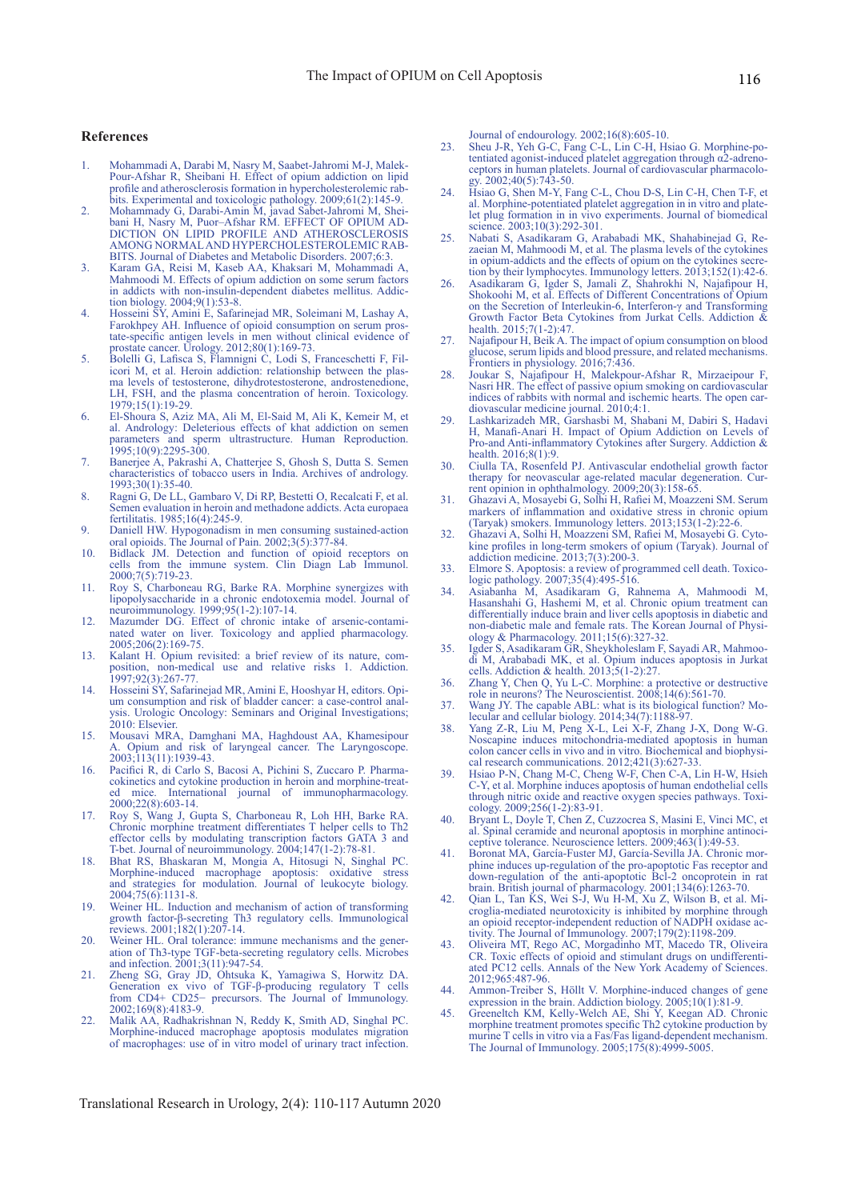#### **References**

- 1. Mohammadi A, Darabi M, Nasry M, Saabet-Jahromi M-J, Malek-Pour-Afshar R, Sheibani H. Effect of opium addiction on lipid profile and atherosclerosis formation in hypercholesterolemic rabbits. Experimental and toxicologic pathology. 2009;61(2):145-9.
- 2. Mohammady G, Darabi-Amin M, javad Sabet-Jahromi M, Sheibani H, Nasry M, Puor–Afshar RM. EFFECT OF OPIUM AD-DICTION ON LIPID PROFILE AND ATHEROSCLEROSIS AMONG NORMAL AND HYPERCHOLESTEROLEMIC RAB-BITS. Journal of Diabetes and Metabolic Disorders. 2007;6:3.
- 3. Karam GA, Reisi M, Kaseb AA, Khaksari M, Mohammadi A, Mahmoodi M. Effects of opium addiction on some serum factors in addicts with non-insulin-dependent diabetes mellitus. Addiction biology. 2004;9(1):53-8.
- 4. Hosseini SY, Amini E, Safarinejad MR, Soleimani M, Lashay A, Farokhpey AH. Influence of opioid consumption on serum prostate-specific antigen levels in men without clinical evidence of prostate cancer. Urology. 2012;80(1):169-73.
- 5. Bolelli G, Lafisca S, Flamnigni C, Lodi S, Franceschetti F, Filicori M, et al. Heroin addiction: relationship between the plasma levels of testosterone, dihydrotestosterone, androstenedione, LH, FSH, and the plasma concentration of heroin. Toxicology. 1979;15(1):19-29.
- 6. El-Shoura S, Aziz MA, Ali M, El-Said M, Ali K, Kemeir M, et al. Andrology: Deleterious effects of khat addiction on semen parameters and sperm ultrastructure. Human Reproduction. 1995;10(9):2295-300.
- 7. Banerjee A, Pakrashi A, Chatterjee S, Ghosh S, Dutta S. Semen characteristics of tobacco users in India. Archives of andrology. 1993;30(1):35-40.
- 8. Ragni G, De LL, Gambaro V, Di RP, Bestetti O, Recalcati F, et al. Semen evaluation in heroin and methadone addicts. Acta europaea fertilitatis. 1985;16(4):245-9.
- 9. Daniell HW. Hypogonadism in men consuming sustained-action oral opioids. The Journal of Pain. 2002;3(5):377-84.
- 10. Bidlack JM. Detection and function of opioid receptors on cells from the immune system. Clin Diagn Lab Immunol. 2000;7(5):719-23.
- 11. Roy S, Charboneau RG, Barke RA. Morphine synergizes with lipopolysaccharide in a chronic endotoxemia model. Journal of neuroimmunology. 1999;95(1-2):107-14.
- 12. Mazumder DG. Effect of chronic intake of arsenic-contaminated water on liver. Toxicology and applied pharmacology. 2005;206(2):169-75.
- 13. Kalant H. Opium revisited: a brief review of its nature, composition, non-medical use and relative risks 1. Addiction. 1997;92(3):267-77.
- 14. Hosseini SY, Safarinejad MR, Amini E, Hooshyar H, editors. Opium consumption and risk of bladder cancer: a case-control analysis. Urologic Oncology: Seminars and Original Investigations; 2010: Elsevier.
- 15. Mousavi MRA, Damghani MA, Haghdoust AA, Khamesipour Opium and risk of laryngeal cancer. The Laryngoscope. 2003;113(11):1939-43.
- 16. Pacifici R, di Carlo S, Bacosi A, Pichini S, Zuccaro P. Pharmacokinetics and cytokine production in heroin and morphine-treated mice. International journal of immunopharmacology. 2000;22(8):603-14.
- 17. Roy S, Wang J, Gupta S, Charboneau R, Loh HH, Barke RA. Chronic morphine treatment differentiates T helper cells to Th2 effector cells by modulating transcription factors GATA 3 and T-bet. Journal of neuroimmunology. 2004;147(1-2):78-81.
- 18. Bhat RS, Bhaskaran M, Mongia A, Hitosugi N, Singhal PC. Morphine-induced macrophage apoptosis: oxidative stress and strategies for modulation. Journal of leukocyte biology. 2004;75(6):1131-8.
- 19. Weiner HL. Induction and mechanism of action of transforming growth factor-β-secreting Th3 regulatory cells. Immunological reviews. 2001;182(1):207-14.
- 20. Weiner HL. Oral tolerance: immune mechanisms and the generation of Th3-type TGF-beta-secreting regulatory cells. Microbes and infection. 2001;3(11):947-54.
- 21. Zheng SG, Gray JD, Ohtsuka K, Yamagiwa S, Horwitz DA. Generation ex vivo of TGF-β-producing regulatory T cells from CD4+ CD25− precursors. The Journal of Immunology. 2002;169(8):4183-9.
- 22. Malik AA, Radhakrishnan N, Reddy K, Smith AD, Singhal PC. Morphine-induced macrophage apoptosis modulates migration of macrophages: use of in vitro model of urinary tract infection.

Journal of endourology. 2002;16(8):605-10.

- 23. Sheu J-R, Yeh G-C, Fang C-L, Lin C-H, Hsiao G. Morphine-potentiated agonist-induced platelet aggregation through α2-adrenoceptors in human platelets. Journal of cardiovascular pharmacology. 2002;40(5):743-50.
- 24. Hsiao G, Shen M-Y, Fang C-L, Chou D-S, Lin C-H, Chen T-F, et al. Morphine-potentiated platelet aggregation in in vitro and platelet plug formation in in vivo experiments. Journal of biomedical science. 2003;10(3):292-301.
- 25. Nabati S, Asadikaram G, Arababadi MK, Shahabinejad G, Rezaeian M, Mahmoodi M, et al. The plasma levels of the cytokines in opium-addicts and the effects of opium on the cytokines secretion by their lymphocytes. Immunology letters. 2013;152(1):42-6.
- 26. Asadikaram G, Igder S, Jamali Z, Shahrokhi N, Najafipour H, Shokoohi M, et al. Effects of Different Concentrations of Opium on the Secretion of Interleukin-6, Interferon-γ and Transforming Growth Factor Beta Cytokines from Jurkat Cells. Addiction & health. 2015;7(1-2):47.
- 27. Najafipour H, Beik A. The impact of opium consumption on blood glucose, serum lipids and blood pressure, and related mechanisms. Frontiers in physiology. 2016;7:436.
- 28. Joukar S, Najafipour H, Malekpour-Afshar R, Mirzaeipour F, Nasri HR. The effect of passive opium smoking on cardiovascular indices of rabbits with normal and ischemic hearts. The open cardiovascular medicine journal. 2010;4:1.
- 29. Lashkarizadeh MR, Garshasbi M, Shabani M, Dabiri S, Hadavi H, Manafi-Anari H. Impact of Opium Addiction on Levels of Pro-and Anti-inflammatory Cytokines after Surgery. Addiction & health. 2016;8(1):9.
- 30. Ciulla TA, Rosenfeld PJ. Antivascular endothelial growth factor therapy for neovascular age-related macular degeneration. Current opinion in ophthalmology. 2009;20(3):158-65.
- 31. Ghazavi A, Mosayebi G, Solhi H, Rafiei M, Moazzeni SM. Serum markers of inflammation and oxidative stress in chronic opium (Taryak) smokers. Immunology letters. 2013;153(1-2):22-6.
- 32. Ghazavi A, Solhi H, Moazzeni SM, Rafiei M, Mosayebi G. Cytokine profiles in long-term smokers of opium (Taryak). Journal of addiction medicine. 2013;7(3):200-3.
- 33. Elmore S. Apoptosis: a review of programmed cell death. Toxicologic pathology. 2007;35(4):495-516.
- 34. Asiabanha M, Asadikaram G, Rahnema A, Mahmoodi M, Hasanshahi G, Hashemi M, et al. Chronic opium treatment can differentially induce brain and liver cells apoptosis in diabetic and non-diabetic male and female rats. The Korean Journal of Physiology & Pharmacology. 2011;15(6):327-32.
- 35. Igder S, Asadikaram GR, Sheykholeslam F, Sayadi AR, Mahmoodi M, Arababadi MK, et al. Opium induces apoptosis in Jurkat cells. Addiction & health. 2013;5(1-2):27.
- 36. Zhang Y, Chen Q, Yu L-C. Morphine: a protective or destructive role in neurons? The Neuroscientist. 2008;14(6):561-70.
- 37. Wang JY. The capable ABL: what is its biological function? Molecular and cellular biology. 2014;34(7):1188-97.
- 38. Yang Z-R, Liu M, Peng X-L, Lei X-F, Zhang J-X, Dong W-G. Noscapine induces mitochondria-mediated apoptosis in human colon cancer cells in vivo and in vitro. Biochemical and biophysical research communications. 2012;421(3):627-33.
- 39. Hsiao P-N, Chang M-C, Cheng W-F, Chen C-A, Lin H-W, Hsieh C-Y, et al. Morphine induces apoptosis of human endothelial cells through nitric oxide and reactive oxygen species pathways. Toxicology. 2009;256(1-2):83-91.
- 40. Bryant L, Doyle T, Chen Z, Cuzzocrea S, Masini E, Vinci MC, et al. Spinal ceramide and neuronal apoptosis in morphine antinoci- ceptive tolerance. Neuroscience letters. 2009;463(1):49-53.
- 41. Boronat MA, García-Fuster MJ, García-Sevilla JA. Chronic morphine induces up-regulation of the pro-apoptotic Fas receptor and down-regulation of the anti-apoptotic Bcl-2 oncoprotein in rat brain. British journal of pharmacology. 2001;134(6):1263-70.
- 42. Qian L, Tan KS, Wei S-J, Wu H-M, Xu Z, Wilson B, et al. Microglia-mediated neurotoxicity is inhibited by morphine through an opioid receptor-independent reduction of NADPH oxidase activity. The Journal of Immunology. 2007;179(2):1198-209.
- 43. Oliveira MT, Rego AC, Morgadinho MT, Macedo TR, Oliveira CR. Toxic effects of opioid and stimulant drugs on undifferentiated PC12 cells. Annals of the New York Academy of Sciences. 2012;965:487-96.
- 44. Ammon-Treiber S, Höllt V. Morphine-induced changes of gene expression in the brain. Addiction biology. 2005;10(1):81-9.
- 45. Greeneltch KM, Kelly-Welch AE, Shi Y, Keegan AD. Chronic morphine treatment promotes specific Th2 cytokine production by murine T cells in vitro via a Fas/Fas ligand-dependent mechanism. The Journal of Immunology. 2005;175(8):4999-5005.

Translational Research in Urology, 2(4): 110-117 Autumn 2020